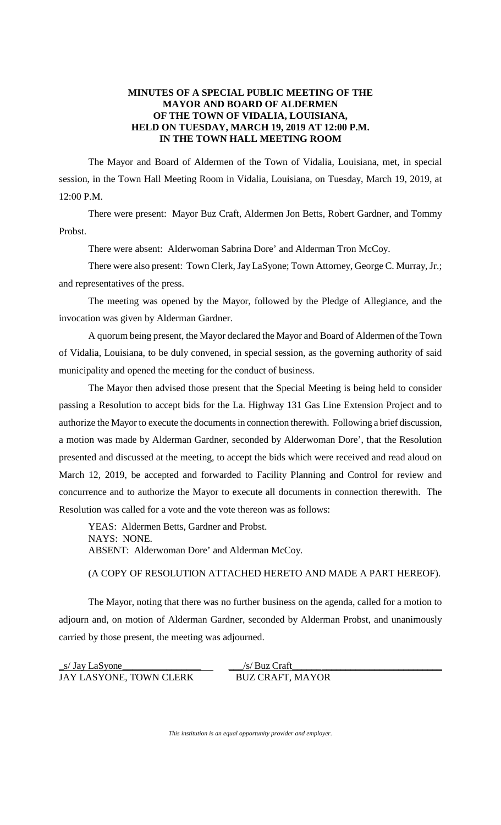## **MINUTES OF A SPECIAL PUBLIC MEETING OF THE MAYOR AND BOARD OF ALDERMEN OF THE TOWN OF VIDALIA, LOUISIANA, HELD ON TUESDAY, MARCH 19, 2019 AT 12:00 P.M. IN THE TOWN HALL MEETING ROOM**

The Mayor and Board of Aldermen of the Town of Vidalia, Louisiana, met, in special session, in the Town Hall Meeting Room in Vidalia, Louisiana, on Tuesday, March 19, 2019, at 12:00 P.M.

There were present: Mayor Buz Craft, Aldermen Jon Betts, Robert Gardner, and Tommy Probst.

There were absent: Alderwoman Sabrina Dore' and Alderman Tron McCoy.

There were also present: Town Clerk, Jay LaSyone; Town Attorney, George C. Murray, Jr.; and representatives of the press.

The meeting was opened by the Mayor, followed by the Pledge of Allegiance, and the invocation was given by Alderman Gardner.

A quorum being present, the Mayor declared the Mayor and Board of Aldermen of the Town of Vidalia, Louisiana, to be duly convened, in special session, as the governing authority of said municipality and opened the meeting for the conduct of business.

The Mayor then advised those present that the Special Meeting is being held to consider passing a Resolution to accept bids for the La. Highway 131 Gas Line Extension Project and to authorize the Mayor to execute the documents in connection therewith. Following a brief discussion, a motion was made by Alderman Gardner, seconded by Alderwoman Dore', that the Resolution presented and discussed at the meeting, to accept the bids which were received and read aloud on March 12, 2019, be accepted and forwarded to Facility Planning and Control for review and concurrence and to authorize the Mayor to execute all documents in connection therewith. The Resolution was called for a vote and the vote thereon was as follows:

YEAS: Aldermen Betts, Gardner and Probst. NAYS: NONE. ABSENT: Alderwoman Dore' and Alderman McCoy.

(A COPY OF RESOLUTION ATTACHED HERETO AND MADE A PART HEREOF).

The Mayor, noting that there was no further business on the agenda, called for a motion to adjourn and, on motion of Alderman Gardner, seconded by Alderman Probst, and unanimously carried by those present, the meeting was adjourned.

| s/ Jay LaSyone          | /s/ Buz Craft           |
|-------------------------|-------------------------|
| JAY LASYONE, TOWN CLERK | <b>BUZ CRAFT, MAYOR</b> |

*This institution is an equal opportunity provider and employer.*